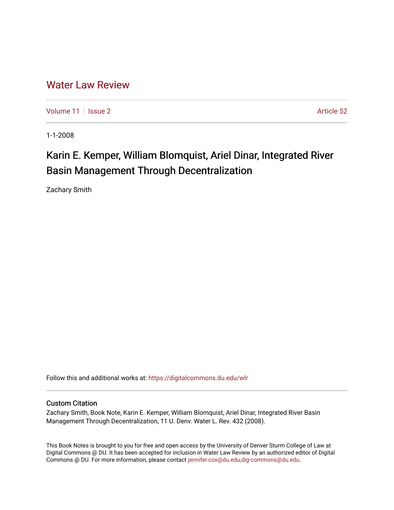## [Water Law Review](https://digitalcommons.du.edu/wlr)

[Volume 11](https://digitalcommons.du.edu/wlr/vol11) | [Issue 2](https://digitalcommons.du.edu/wlr/vol11/iss2) Article 52

1-1-2008

## Karin E. Kemper, William Blomquist, Ariel Dinar, Integrated River Basin Management Through Decentralization

Zachary Smith

Follow this and additional works at: [https://digitalcommons.du.edu/wlr](https://digitalcommons.du.edu/wlr?utm_source=digitalcommons.du.edu%2Fwlr%2Fvol11%2Fiss2%2F52&utm_medium=PDF&utm_campaign=PDFCoverPages) 

## Custom Citation

Zachary Smith, Book Note, Karin E. Kemper, William Blomquist, Ariel Dinar, Integrated River Basin Management Through Decentralization, 11 U. Denv. Water L. Rev. 432 (2008).

This Book Notes is brought to you for free and open access by the University of Denver Sturm College of Law at Digital Commons @ DU. It has been accepted for inclusion in Water Law Review by an authorized editor of Digital Commons @ DU. For more information, please contact [jennifer.cox@du.edu,dig-commons@du.edu.](mailto:jennifer.cox@du.edu,dig-commons@du.edu)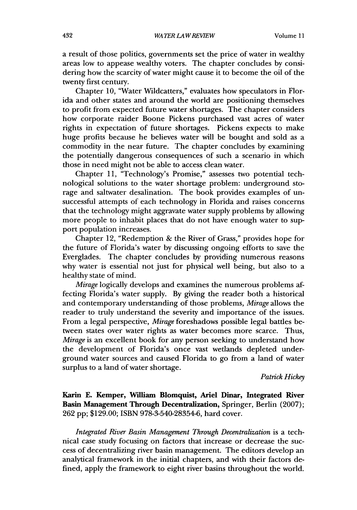a result of those politics, governments set the price of water in wealthy areas low to appease wealthy voters. The chapter concludes by considering how the scarcity of water might cause it to become the oil of the twenty first century.

Chapter 10, "Water Wildcatters," evaluates how speculators in Florida and other states and around the world are positioning themselves to profit from expected future water shortages. The chapter considers how corporate raider Boone Pickens purchased vast acres of water rights in expectation of future shortages. Pickens expects to make huge profits because he believes water will be bought and sold as a commodity in the near future. The chapter concludes by examining the potentially dangerous consequences of such a scenario in which those in need might not be able to access clean water.

Chapter 11, "Technology's Promise," assesses two potential technological solutions to the water shortage problem: underground storage and saltwater desalination. The book provides examples of unsuccessful attempts of each technology in Florida and raises concerns that the technology might aggravate water supply problems by allowing more people to inhabit places that do not have enough water to support population increases.

Chapter 12, "Redemption & the River of Grass," provides hope for the future of Florida's water by discussing ongoing efforts to save the Everglades. The chapter concludes by providing numerous reasons why water is essential not just for physical well being, but also to a healthy state of mind.

*Mirage* logically develops and examines the numerous problems affecting Florida's water supply. By giving the reader both a historical and contemporary understanding of those problems, *Mirage* allows the reader to truly understand the severity and importance of the issues. From a legal perspective, *Mirage* foreshadows possible legal battles between states over water rights as water becomes more scarce. Thus, *Mirage* is an excellent book for any person seeking to understand how the development of Florida's once vast wetlands depleted underground water sources and caused Florida to go from a land of water surplus to a land of water shortage.

*Patrick Hickey*

**Karin E. Kemper, William Blomquist, Ariel Dinar, Integrated River Basin Management Through Decentralization,** Springer, Berlin **(2007); 262** pp; \$129.00; ISBN **978-3-540-28354-6,** hard cover.

*Integrated River Basin Management Through Decentralization* is a technical case study focusing on factors that increase or decrease the success of decentralizing river basin management. The editors develop an analytical framework in the initial chapters, and with their factors defined, apply the framework to eight river basins throughout the world.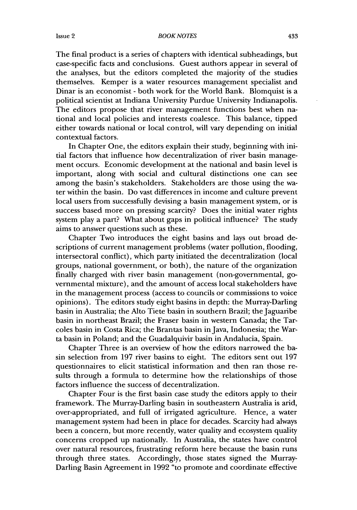## *BOOK NOTES*

The final product is a series of chapters with identical subheadings, but case-specific facts and conclusions. Guest authors appear in several of the analyses, but the editors completed the majority of the studies themselves. Kemper is a water resources management specialist and Dinar is an economist - both work for the World Bank. Blomquist is a political scientist at Indiana University Purdue University Indianapolis. The editors propose that river management functions best when national and local policies and interests coalesce. This balance, tipped either towards national or local control, will vary depending on initial contextual factors.

In Chapter One, the editors explain their study, beginning with initial factors that influence how decentralization of river basin management occurs. Economic development at the national and basin level is important, along with social and cultural distinctions one can see among the basin's stakeholders. Stakeholders are those using the water within the basin. Do vast differences in income and culture prevent local users from successfully devising a basin management system, or is success based more on pressing scarcity? Does the initial water rights system play a part? What about gaps in political influence? The study aims to answer questions such as these.

Chapter Two introduces the eight basins and lays out broad descriptions of current management problems (water pollution, flooding, intersectoral conflict), which party initiated the decentralization (local groups, national government, or both), the nature of the organization finally charged with river basin management (non-governmental, governmental mixture), and the amount of access local stakeholders have in the management process (access to councils or commissions to voice opinions). The editors study eight basins in depth: the Murray-Darling basin in Australia; the Alto Tiete basin in southern Brazil; the Jaguaribe basin in northeast Brazil; the Fraser basin in western Canada; the Tarcoles basin in Costa Rica; the Brantas basin in Java, Indonesia; the Warta basin in Poland; and the Guadalquivir basin in Andalucia, Spain.

Chapter Three is an overview of how the editors narrowed the basin selection from 197 river basins to eight. The editors sent out 197 questionnaires to elicit statistical information and then ran those results through a formula to determine how the relationships of those factors influence the success of decentralization.

Chapter Four is the first basin case study the editors apply to their framework. The Murray-Darling basin in southeastern Australia is arid, over-appropriated, and full of irrigated agriculture. Hence, a water management system had been in place for decades. Scarcity had always been a concern, but more recently, water quality and ecosystem quality concerns cropped up nationally. In Australia, the states have control over natural resources, frustrating reform here because the basin runs through three states. Accordingly, those states signed the Murray-Darling Basin Agreement in 1992 "to promote and coordinate effective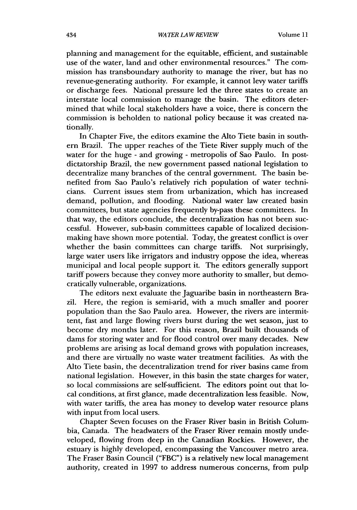planning and management for the equitable, efficient, and sustainable use of the water, land and other environmental resources." The commission has transboundary authority to manage the river, but has no revenue-generating authority. For example, it cannot levy water tariffs or discharge fees. National pressure led the three states to create an interstate local commission to manage the basin. The editors determined that while local stakeholders have a voice, there is concern the commission is beholden to national policy because it was created nationally.

In Chapter Five, the editors examine the Alto Tiete basin in southern Brazil. The upper reaches of the Tiete River supply much of the water for the huge - and growing - metropolis of Sao Paulo. In postdictatorship Brazil, the new government passed national legislation to decentralize many branches of the central government. The basin benefited from Sao Paulo's relatively rich population of water technicians. Current issues stem from urbanization, which has increased demand, pollution, and flooding. National water law created basin committees, but state agencies frequently by-pass these committees. In that way, the editors conclude, the decentralization has not been successful. However, sub-basin committees capable of localized decisionmaking have shown more potential. Today, the greatest conflict is over whether the basin committees can charge tariffs. Not surprisingly, large water users like irrigators and industry oppose the idea, whereas municipal and local people support it. The editors generally support tariff powers because they convey more authority to smaller, but democratically vulnerable, organizations.

The editors next evaluate the Jaguaribe basin in northeastern Brazil. Here, the region is semi-arid, with a much smaller and poorer population than the Sao Paulo area. However, the rivers are intermittent, fast and large flowing rivers burst during the wet season, just to become dry months later. For this reason, Brazil built thousands of dams for storing water and for flood control over many decades. New problems are arising as local demand grows with population increases, and there are virtually no waste water treatment facilities. As with the Alto Tiete basin, the decentralization trend for river basins came from national legislation. However, in this basin the state charges for water, so local commissions are self-sufficient. The editors point out that local conditions, at first glance, made decentralization less feasible. Now, with water tariffs, the area has money to develop water resource plans with input from local users.

Chapter Seven focuses on the Fraser River basin in British Columbia, Canada. The headwaters of the Fraser River remain mostly undeveloped, flowing from deep in the Canadian Rockies. However, the estuary is highly developed, encompassing the Vancouver metro area. The Fraser Basin Council ("FBC") is a relatively new local management authority, created in 1997 to address numerous concerns, from pulp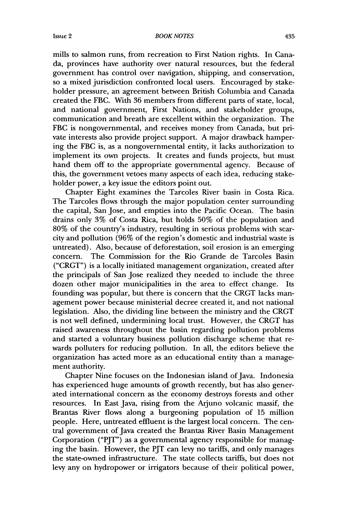mills to salmon runs, from recreation to First Nation rights. In Canada, provinces have authority over natural resources, but the federal government has control over navigation, shipping, and conservation, so a mixed jurisdiction confronted local users. Encouraged by stakeholder pressure, an agreement between British Columbia and Canada created the FBC. With **36** members from different parts of state, local, and national government, First Nations, and stakeholder groups, communication and breath are excellent within the organization. The FBC is nongovernmental, and receives money from Canada, but private interests also provide project support. A major drawback hampering the FBC is, as a nongovernmental entity, it lacks authorization to implement its own projects. It creates and funds projects, but must hand them off to the appropriate governmental agency. Because of this, the government vetoes many aspects of each idea, reducing stakeholder power, a key issue the editors point out.

Chapter Eight examines the Tarcoles River basin in Costa Rica. The Tarcoles flows through the major population center surrounding the capital, San Jose, and empties into the Pacific Ocean. The basin drains only 3% of Costa Rica, but holds 50% of the population and 80% of the country's industry, resulting in serious problems with scarcity and pollution (96% of the region's domestic and industrial waste is untreated). Also, because of deforestation, soil erosion is an emerging concern. The Commission for the Rio Grande de Tarcoles Basin ("CRGT") is a locally initiated management organization, created after the principals of San Jose realized they needed to include the three dozen other major municipalities in the area to effect change. Its founding was popular, but there is concern that the CRGT lacks management power because ministerial decree created it, and not national legislation. Also, the dividing line between the ministry and the CRGT is not well defined, undermining local trust. However, the CRGT has raised awareness throughout the basin regarding pollution problems and started a voluntary business pollution discharge scheme that rewards polluters for reducing pollution. In all, the editors believe the organization has acted more as an educational entity than a management authority.

Chapter Nine focuses on the Indonesian island of Java. Indonesia has experienced huge amounts of growth recently, but has also generated international concern as the economy destroys forests and other resources. In East Java, rising from the Arjuno volcanic massif, the Brantas River flows along a burgeoning population of 15 million people. Here, untreated effluent is the largest local concern. The central government of Java created the Brantas River Basin Management Corporation ("PJT") as a governmental agency responsible for managing the basin. However, the PJT can levy no tariffs, and only manages the state-owned infrastructure. The state collects tariffs, but does not levy any on hydropower or irrigators because of their political power,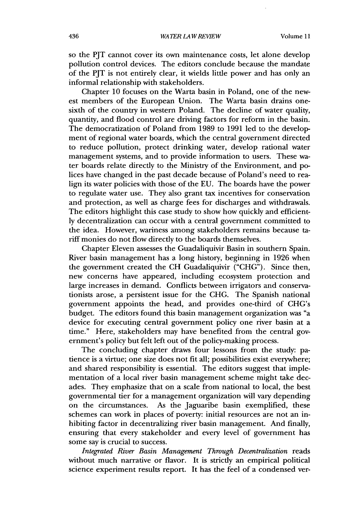so the PJT cannot cover its own maintenance costs, let alone develop pollution control devices. The editors conclude because the mandate of the PJT is not entirely clear, it wields little power and has only an informal relationship with stakeholders.

Chapter 10 focuses on the Warta basin in Poland, one of the newest members of the European Union. The Warta basin drains onesixth of the country in western Poland. The decline of water quality, quantity, and flood control are driving factors for reform in the basin. The democratization of Poland from 1989 to 1991 led to the development of regional water boards, which the central government directed to reduce pollution, protect drinking water, develop rational water management systems, and to provide information to users. These water boards relate directly to the Ministry of the Environment, and polices have changed in the past decade because of Poland's need to realign its water policies with those of the EU. The boards have the power to regulate water use. They also grant tax incentives for conservation and protection, as well as charge fees for discharges and withdrawals. The editors highlight this case study to show how quickly and efficiently decentralization can occur with a central government committed to the idea. However, wariness among stakeholders remains because tariff monies do not flow directly to the boards themselves.

Chapter Eleven assesses the Guadaliquivir Basin in southern Spain. River basin management has a long history, beginning in 1926 when the government created the CH Guadaliquivir ("CHG"). Since then, new concerns have appeared, including ecosystem protection and large increases in demand. Conflicts between irrigators and conservationists arose, a persistent issue for the CHG. The Spanish national government appoints the head, and provides one-third of CHG's budget. The editors found this basin management organization was "a device for executing central government policy one river basin at a time." Here, stakeholders may have benefited from the central government's policy but felt left out of the policy-making process.

The concluding chapter draws four lessons from the study: patience is a virtue; one size does not fit all; possibilities exist everywhere; and shared responsibility is essential. The editors suggest that implementation of a local river basin management scheme might take decades. They emphasize that on a scale from national to local, the best governmental tier for a management organization will vary depending on the circumstances. As the Jaguaribe basin exemplified, these schemes can work in places of poverty: initial resources are not an inhibiting factor in decentralizing river basin management. And finally, ensuring that every stakeholder and every level of government has some say is crucial to success.

*Integrated River Basin Management Through Decentralization* reads without much narrative or flavor. It is strictly an empirical political science experiment results report. It has the feel of a condensed ver